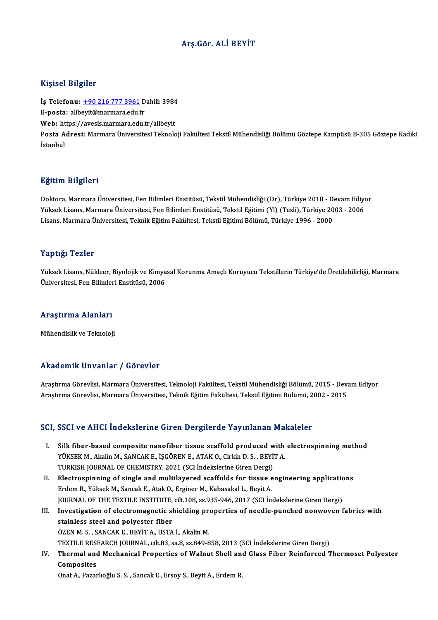## Arş.Gör. ALİ BEYİT

### Kişisel Bilgiler

Kişisel Bilgiler<br>İş Telefonu: <u>+90 216 777 3961</u> Dahili: 3984<br>E nosta: alibevit@marmara.edu.tr 11131001 D1151101<br>İş Telefonu: <u>+90 216 777 3961</u> D<br>E-posta: alib[eyit@marmara.edu.t](tel:+90 216 777 3961)r<br>Web: bttps://avesis.marmara.edu.tr İş Telefonu: <u>+90 216 777 3961</u> Dahili: 3984<br>E-posta: alibeyit@marmara.edu.tr<br>Web: https://avesis.marmara.edu.tr/alibeyit<br>Posta Adrosi: Marmara Üniversitesi Talmala E-posta: alibeyit@marmara.edu.tr<br>Web: https://avesis.marmara.edu.tr/alibeyit<br>Posta Adresi: Marmara Üniversitesi Teknoloji Fakültesi Tekstil Mühendisliği Bölümü Göztepe Kampüsü B-305 Göztepe Kadıki<br>İstanbul Web: https://avesis.marmara.edu.tr/alibeyit

### Eğitim Bilgileri

Doktora, Marmara Üniversitesi, Fen Bilimleri Enstitüsü, Tekstil Mühendisliği (Dr), Türkiye 2018 - Devam Ediyor 25.<br>29. Doktora, Marmara Üniversitesi, Fen Bilimleri Enstitüsü, Tekstil Mühendisliği (Dr), Türkiye 2018 - Devam Ediy<br>Yüksek Lisans, Marmara Üniversitesi, Fen Bilimleri Enstitüsü, Tekstil Eğitimi (Yl) (Tezli), Türkiye 2003 Doktora, Marmara Üniversitesi, Fen Bilimleri Enstitüsü, Tekstil Mühendisliği (Dr), Türkiye 2018 - D<br>Yüksek Lisans, Marmara Üniversitesi, Fen Bilimleri Enstitüsü, Tekstil Eğitimi (Yl) (Tezli), Türkiye 20<br>Lisans, Marmara Üni Lisans, Marmara Üniversitesi, Teknik Eğitim Fakültesi, Tekstil Eğitimi Bölümü, Türkiye 1996 - 2000<br>Yaptığı Tezler

Yaptığı Tezler<br>Yüksek Lisans, Nükleer, Biyolojik ve Kimyasal Korunma Amaçlı Koruyucu Tekstillerin Türkiye'de Üretilebilirliği, Marmara<br>Ühivorsitesi, Ean Bilimleri Enstitüsü, 2006 Tüptigi<br>Tüksek Lisans, Nükleer, Biyolojik ve Kimya<br>Üniversitesi, Fen Bilimleri Enstitüsü, 2006 Üniversitesi, Fen Bilimleri Enstitüsü, 2006<br>Araştırma Alanları

Mühendislik ve Teknoloji

#### Akademik Unvanlar / Görevler

Araştırma Görevlisi, Marmara Üniversitesi, Teknoloji Fakültesi, Tekstil Mühendisliği Bölümü, 2015 - Devam Ediyor Araştırma Görevlisi, Marmara Üniversitesi, Teknik Eğitim Fakültesi, Tekstil Eğitimi Bölümü, 2002 - 2015

#### SCI, SSCI ve AHCI İndekslerine Giren Dergilerde Yayınlanan Makaleler

- CI, SSCI ve AHCI İndekslerine Giren Dergilerde Yayınlanan Makaleler<br>I. Silk fiber-based composite nanofiber tissue scaffold produced with electrospinning method<br>VÜKSEK M. Akalin M. SANGAK E. İSCÖPEN E. ATAK O. Cirkin D. S. YÜKSEK M., Akalin M., SANCAK E., İŞGÖREN E., ATAK O., Cirkin D. S. , BEYİT A.<br>YÜKSEK M., Akalin M., SANCAK E., İŞGÖREN E., ATAK O., Cirkin D. S. , BEYİT A.<br>TURKISH JOURNAL OF CHEMISTRY 2021 (SCI İndekslerine Ciren Dergi) Silk fiber-based composite nanofiber tissue scaffold produced w<br>YÜKSEK M., Akalin M., SANCAK E., İŞGÖREN E., ATAK O., Cirkin D. S. , BEYİ<br>TURKISH JOURNAL OF CHEMISTRY, 2021 (SCI İndekslerine Giren Dergi)<br>Flastrospinning of YÜKSEK M., Akalin M., SANCAK E., İŞGÖREN E., ATAK O., Cirkin D. S., BEYİT A.<br>TURKISH JOURNAL OF CHEMISTRY, 2021 (SCI İndekslerine Giren Dergi)<br>II. Electrospinning of single and multilayered scaffolds for tissue engineering
- TURKISH JOURNAL OF CHEMISTRY, 2021 (SCI İndekslerine Giren Dergi)<br>Electrospinning of single and multilayered scaffolds for tissue e<br>Erdem R., Yüksek M., Sancak E., Atak O., Erginer M., Kabasakal L., Beyit A.<br>JOURNAL OF THE Electrospinning of single and multilayered scaffolds for tissue engineering application<br>Erdem R., Yüksek M., Sancak E., Atak O., Erginer M., Kabasakal L., Beyit A.<br>JOURNAL OF THE TEXTILE INSTITUTE, cilt.108, ss.935-946, 20 Erdem R., Yüksek M., Sancak E., Atak O., Erginer M., Kabasakal L., Beyit A.<br>JOURNAL OF THE TEXTILE INSTITUTE, cilt.108, ss.935-946, 2017 (SCI İndekslerine Giren Dergi)<br>III. Investigation of electromagnetic shielding proper
- STAIN SOURNAL OF THE TEXTILE INSTITUTE,<br>Investigation of electromagnetic skainless steel and polyester fiber<br>THE REAL ANGAVE PEVIT A LISTA Investigation of electromagnetic shielding pro<br>stainless steel and polyester fiber<br>ÖZEN M. S. , SANCAK E., BEYİT A., USTA İ., Akalin M.<br>TEYTU E RESEARCH JOURNAL 611: 93, 29, 8, 98, 940, 9 stainless steel and polyester fiber<br>ÖZEN M. S. , SANCAK E., BEYİT A., USTA İ., Akalin M.<br>TEXTILE RESEARCH JOURNAL, cilt.83, sa.8, ss.849-858, 2013 (SCI İndekslerine Giren Dergi)<br>Thermal and Mechanisal Prenerties of Walnut

ÖZEN M. S. , SANCAK E., BEYİT A., USTA İ., Akalin M.<br>TEXTILE RESEARCH JOURNAL, cilt.83, sa.8, ss.849-858, 2013 (SCI İndekslerine Giren Dergi)<br>IV. Thermal and Mechanical Properties of Walnut Shell and Glass Fiber Reinfo TEXTILE RESI<br>Thermal and<br>Composites

Onat A., Pazarlıoğlu S.S., Sancak E., Ersoy S., Beyit A., Erdem R.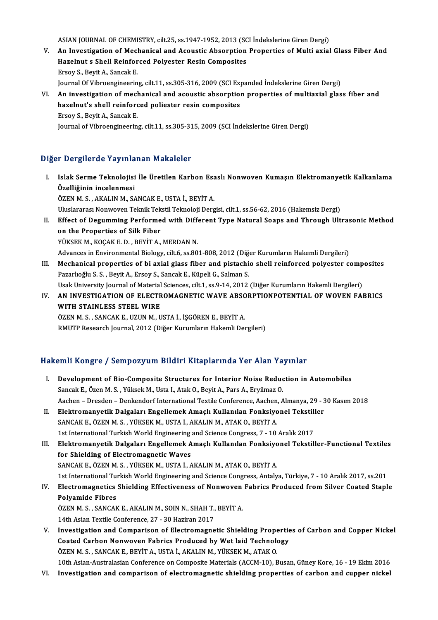ASIAN JOURNAL OF CHEMISTRY, cilt.25, ss.1947-1952, 2013 (SCI İndekslerine Giren Dergi)<br>An Investigation of Mechanical and Acoustic Abeauntion Properties of Multi evial

- V. An Investigation of Mechanical and Acoustic Absorption Properties of Multi axial Glass Fiber And<br>Hazelnut s Shell Reinforced Polyester Resin Composites ASIAN JOURNAL OF CHEMISTRY, cilt.25, ss.1947-1952, 2013 (SC<br>An Investigation of Mechanical and Acoustic Absorption<br>Hazelnut s Shell Reinforced Polyester Resin Composites<br>Freeu S. Bout A. Sangel: E Ersoy S.,BeyitA.,SancakE. Hazelnut s Shell Reinforced Polyester Resin Composites<br>Ersoy S., Beyit A., Sancak E.<br>Journal Of Vibroengineering, cilt.11, ss.305-316, 2009 (SCI Expanded İndekslerine Giren Dergi)<br>An investigation of mechanical and acqueti
- VI. An investigation of mechanical and acoustic absorption properties of multiaxial glass fiber and Journal Of Vibroengineering, cilt.11, ss.305-316, 2009 (SCI Exp)<br>An investigation of mechanical and acoustic absorption<br>hazelnut's shell reinforced poliester resin composites<br>Freques - Povit A. Sancek E hazelnut's shell reinforced poliester resin composites<br>Ersoy S., Beyit A., Sancak E. Journal of Vibroengineering, cilt.11, ss.305-315, 2009 (SCI İndekslerine Giren Dergi)

# Diğer Dergilerde Yayınlanan Makaleler

- iğer Dergilerde Yayınlanan Makaleler<br>I. Islak Serme Teknolojisi İle Üretilen Karbon Esaslı Nonwoven Kumaşın Elektromanyetik Kalkanlama<br>Örelliğinin inselenmesi r Börgnorde Tayma<br>Islak Serme Teknolojisi<br>Özelliğinin incelenmesi<br>ÖZEN M.S. AKALINM.S/ Özelliğinin incelenmesi<br>ÖZEN M. S. , AKALIN M., SANCAK E., USTA İ., BEYİT A. Özelliğinin incelenmesi<br>ÖZEN M. S. , AKALIN M., SANCAK E., USTA İ., BEYİT A.<br>Uluslararası Nonwoven Teknik Tekstil Teknoloji Dergisi, cilt.1, ss.56-62, 2016 (Hakemsiz Dergi)<br>Effect of Degumming Berformed with Different Type ÖZEN M. S. , AKALIN M., SANCAK E., USTA İ., BEYİT A.<br>Uluslararası Nonwoven Teknik Tekstil Teknoloji Dergisi, cilt.1, ss.56-62, 2016 (Hakemsiz Dergi)<br>II. Effect of Degumming Performed with Different Type Natural Soaps and T Uluslararası Nonwoven Teknik Tek<br>Effect of Degumming Performe<br>on the Properties of Silk Fiber<br>VÜKSEK M. KOCAK E.D., BEVİT A Effect of Degumming Performed with Differ<br>on the Properties of Silk Fiber<br>YÜKSEK M., KOÇAK E. D. , BEYİT A., MERDAN N.<br>Advances in Environmental Biology, silt 6, ss 80. on the Properties of Silk Fiber<br>YÜKSEK M., KOÇAK E. D. , BEYİT A., MERDAN N.<br>Advances in Environmental Biology, cilt.6, ss.801-808, 2012 (Diğer Kurumların Hakemli Dergileri)<br>Mechanisal properties of bi avial slass fiber an YÜKSEK M., KOÇAK E. D. , BEYİT A., MERDAN N.<br>Advances in Environmental Biology, cilt.6, ss.801-808, 2012 (Diğer Kurumların Hakemli Dergileri)<br>III. Mechanical properties of bi axial glass fiber and pistachio shell reinforce Advances in Environmental Biology, cilt.6, ss.801-808, 2012 (Diğ<br>Mechanical properties of bi axial glass fiber and pistachi<br>Pazarlıoğlu S. S. , Beyit A., Ersoy S., Sancak E., Küpeli G., Salman S.<br>Heak University Journal of Mechanical properties of bi axial glass fiber and pistachio shell reinforced polyester comp<br>Pazarlıoğlu S. S. , Beyit A., Ersoy S., Sancak E., Küpeli G., Salman S.<br>Usak University Journal of Material Sciences, cilt.1, ss.9 Pazarlıoğlu S. S. , Beyit A., Ersoy S., Sancak E., Küpeli G., Salman S.<br>Usak University Journal of Material Sciences, cilt.1, ss.9-14, 2012 (Diğer Kurumların Hakemli Dergileri)<br>IV. AN INVESTIGATION OF ELECTROMAGNETIC W Usak University Journal of Material Sciences, cilt.1, ss.9-14, 2012 (Diğer Kurumların Hakemli Dergileri)
- ÖZENM.S., SANCAKE., UZUNM., USTA İ., İŞGÖRENE., BEYİTA. RMUTP Research Journal, 2012 (Diğer Kurumların Hakemli Dergileri)

## Hakemli Kongre / Sempozyum Bildiri Kitaplarında Yer Alan Yayınlar

- akemli Kongre / Sempozyum Bildiri Kitaplarında Yer Alan Yayınlar<br>I. Development of Bio-Composite Structures for Interior Noise Reduction in Automobiles<br>Sangak E. Özen M. S. Vülgek M. Usta L. Atak O. Boxit A. Boxe A. Ewilma Sancak E., Özen M. S. , Yüksek M., Usta I., Atak O., Beyit A., Pars A., Eryilmaz O.<br>Aachen – Dresden – Denkendorf International Textile Conference, Aachen, Almanya, 29 - 30 Kasım 2018 Development of Bio-Composite Structures for Interior Noise Reduction in Automobiles<br>Sancak E., Özen M. S. , Yüksek M., Usta I., Atak O., Beyit A., Pars A., Eryilmaz O.<br>Aachen – Dresden – Denkendorf International Textile Co II. Elektromanyetik Dalgaları Engellemek Amaçlı Kullanılan Fonksiyonel Tekstiller SANCAK E., ÖZEN M. S., YÜKSEK M., USTA İ., AKALIN M., ATAK O., BEYİT A. Elektromanyetik Dalgaları Engellemek Amaçlı Kullanılan Fonksiyonel Tekstill<br>SANCAK E., ÖZEN M. S. , YÜKSEK M., USTA İ., AKALIN M., ATAK O., BEYİT A.<br>1st International Turkish World Engineering and Science Congress, 7 - 10 SANCAK E., ÖZEN M. S. , YÜKSEK M., USTA İ., AKALIN M., ATAK O., BEYİT A.<br>1st International Turkish World Engineering and Science Congress, 7 - 10 Aralık 2017<br>III. Elektromanyetik Dalgaları Engellemek Amaçlı Kullanılan Fonk 1st International Turkish World Engineering<br>Elektromanyetik Dalgaları Engellemek A<br>for Shielding of Electromagnetic Waves Elektromanyetik Dalgaları Engellemek Amaçlı Kullanılan Fonksiyo<br>for Shielding of Electromagnetic Waves<br>SANCAK E., ÖZEN M. S. , YÜKSEK M., USTA İ., AKALIN M., ATAK O., BEYİT A.<br>1st International Turkish World Engineering an for Shielding of Electromagnetic Waves<br>1991 - SANCAK E., ÖZEN M. S. , YÜKSEK M., USTA İ., AKALIN M., ATAK O., BEYİT A.<br>1st International Turkish World Engineering and Science Congress, Antalya, Türkiye, 7 - 10 Aralık 2017, SANCAK E., ÖZEN M. S. , YÜKSEK M., USTA İ., AKALIN M., ATAK O., BEYİT A.<br>1st International Turkish World Engineering and Science Congress, Antalya, Türkiye, 7 - 10 Aralık 2017, ss.201<br>IV. Electromagnetics Shielding Eff 1st International Ture<br>Electromagnetics<br>Polyamide Fibres<br>ÖZEN M.S., SANCAL Electromagnetics Shielding Effectiveness of Nonwoven<br>Polyamide Fibres<br>ÖZEN M. S. , SANCAK E., AKALIN M., SOIN N., SHAH T., BEYİT A.<br>14th Asian Tautile Conferense 27 - 20 Hariran 2017 Polyamide Fibres<br>ÖZEN M. S. , SANCAK E., AKALIN M., SOIN N., SHAH T., BEYİT A.<br>14th Asian Textile Conference, 27 - 30 Haziran 2017 ÖZEN M. S., SANCAK E., AKALIN M., SOIN N., SHAH T., BEYİT A.<br>14th Asian Textile Conference, 27 - 30 Haziran 2017<br>V. Investigation and Comparison of Electromagnetic Shielding Properties of Carbon and Copper Nickel<br>Coated Ca
- 14th Asian Textile Conference, 27 30 Haziran 2017<br>Investigation and Comparison of Electromagnetic Shielding Propertic<br>Coated Carbon Nonwoven Fabrics Produced by Wet laid Technology<br>ÖZEN M.S., SANCAKE, PEVIT A, USTA İ, AK Investigation and Comparison of Electromagnetic Shielding Prope<br>Coated Carbon Nonwoven Fabrics Produced by Wet laid Technolo<br>ÖZEN M. S. , SANCAK E., BEYİT A., USTA İ., AKALIN M., YÜKSEK M., ATAK O.<br>10th Asian Australasian Coated Carbon Nonwoven Fabrics Produced by Wet laid Technology<br>ÖZEN M. S. , SANCAK E., BEYİT A., USTA İ., AKALIN M., YÜKSEK M., ATAK O.<br>10th Asian-Australasian Conference on Composite Materials (ACCM-10), Busan, Güney Kore ÖZEN M. S. , SANCAK E., BEYİT A., USTA İ., AKALIN M., YÜKSEK M., ATAK O.<br>10th Asian-Australasian Conference on Composite Materials (ACCM-10), Busan, Güney Kore, 16 - 19 Ekim 2016<br>10. Investigation and comparison of electro
-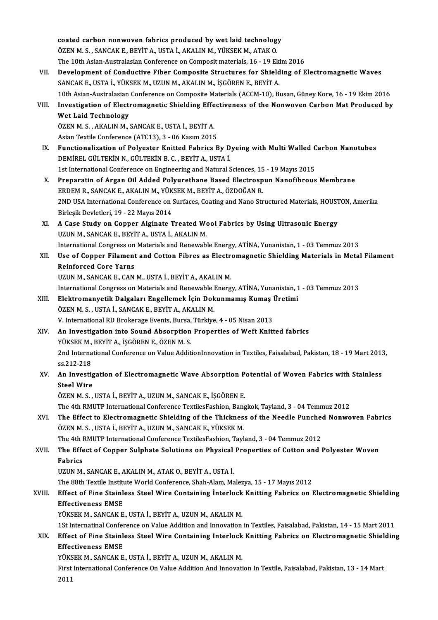coated carbon nonwoven fabrics produced by wet laid technology<br>ÖZEN M.S., SANCAV E. PEVIT A, USTA İ. AKALIN M. VÜVSEK M. ATAV O coated carbon nonwoven fabrics produced by wet laid technolog<br>ÖZEN M. S. , SANCAK E., BEYİT A., USTA İ., AKALIN M., YÜKSEK M., ATAK O.<br>The 10th Asian Australasian Conferense en Corressit materials 16, 10 El coated carbon nonwoven fabrics produced by wet laid technology<br>ÖZEN M. S. , SANCAK E., BEYİT A., USTA İ., AKALIN M., YÜKSEK M., ATAK O.<br>The 10th Asian-Australasian Conference on Composit materials, 16 - 19 Ekim 2016<br>Develo ÖZEN M. S. , SANCAK E., BEYİT A., USTA İ., AKALIN M., YÜKSEK M., ATAK O.<br>The 10th Asian-Australasian Conference on Composite Materials, 16 - 19 Ekim 2016<br>VII. Development of Conductive Fiber Composite Structures for Shield The 10th Asian-Australasian Conference on Composit materials, 16 - 19 Eki<br>Development of Conductive Fiber Composite Structures for Shield<br>SANCAK E., USTA İ., YÜKSEK M., UZUN M., AKALIN M., İŞGÖREN E., BEYİT A.<br>10th Asian A 10th Asian-Australasian Conference on Composite Materials (ACCM-10), Busan, Güney Kore, 16 - 19 Ekim 2016<br>10th Asian-Australasian Conference on Composite Materials (ACCM-10), Busan, Güney Kore, 16 - 19 Ekim 2016 SANCAK E., USTA İ., YÜKSEK M., UZUN M., AKALIN M., İŞGÖREN E., BEYİT A.<br>10th Asian-Australasian Conference on Composite Materials (ACCM-10), Busan, Güney Kore, 16 - 19 Ekim 2016<br>VIII. Investigation of Electromagnetic Shiel 10th Asian-Australasian<br>Investigation of Elect<br>Wet Laid Technology<br>ÖZEN M S - AKALIN M Investigation of Electromagnetic Shielding Effe<br>Wet Laid Technology<br>ÖZEN M. S., AKALIN M., SANCAK E., USTA İ., BEYİT A.<br>Asian Taytile Conference (ATC12), 2., 06 Kasım 2015 Wet Laid Technology<br>ÖZEN M. S. , AKALIN M., SANCAK E., USTA İ., BEYİT A.<br>Asian Textile Conference (ATC13), 3 - 06 Kasım 2015 ÖZEN M. S., AKALIN M., SANCAK E., USTA İ., BEYİT A.<br>Asian Textile Conference (ATC13), 3 - 06 Kasım 2015<br>IX. Functionalization of Polyester Knitted Fabrics By Dyeing with Multi Walled Carbon Nanotubes<br>DEMİREL CÜLTEKİN N. CÜ Asian Textile Conference (ATC13), 3 - 06 Kasım 2015<br>Functionalization of Polyester Knitted Fabrics By D<br>DEMİREL GÜLTEKİN N., GÜLTEKİN B.C., BEYİT A., USTA İ.<br>1st International Conference en Engineering and Natural S Functionalization of Polyester Knitted Fabrics By Dyeing with Multi Walled C<br>DEMİREL GÜLTEKİN N., GÜLTEKİN B. C. , BEYİT A., USTA İ.<br>1st International Conference on Engineering and Natural Sciences, 15 - 19 Mayıs 2015<br>Prep DEMIREL GÜLTEKIN N., GÜLTEKIN B. C. , BEYIT A., USTA I.<br>1st International Conference on Engineering and Natural Sciences, 15 - 19 Mayıs 2015<br>X. Preparatin of Argan Oil Added Polyurethane Based Electrospun Nanofibrous Membr 1st International Conference on Engineering and Natural Sciences, 15<br>Preparatin of Argan Oil Added Polyurethane Based Electrosp<br>ERDEM R., SANCAK E., AKALIN M., YÜKSEK M., BEYİT A., ÖZDOĞAN R.<br>2ND USA International Conferen Preparatin of Argan Oil Added Polyurethane Based Electrospun Nanofibrous Membrane<br>ERDEM R., SANCAK E., AKALIN M., YÜKSEK M., BEYİT A., ÖZDOĞAN R.<br>2ND USA International Conference on Surfaces, Coating and Nano Structured Ma ERDEM R., SANCAK E., AKALIN M., YÜKSEK M., BEYİT A., ÖZDOĞAN R.<br>2ND USA International Conference on Surfaces, Coating and Nano Structured Materials, HOUSTON, Amerika<br>Birleşik Devletleri, 19 - 22 Mayıs 2014 2ND USA International Conference on Surfaces, Coating and Nano Structured Materials, HOUST<br>Birleşik Devletleri, 19 - 22 Mayıs 2014<br>XI. A Case Study on Copper Alginate Treated Wool Fabrics by Using Ultrasonic Energy<br>ITZIN M Birleşik Devletleri, 19 - 22 Mayıs 2014<br>A Case Study on Copper Alginate Treated We<br>UZUN M., SANCAK E., BEYİT A., USTA İ., AKALIN M.<br>International Congress en Materials and Benevrah A Case Study on Copper Alginate Treated Wool Fabrics by Using Ultrasonic Energy<br>UZUN M., SANCAK E., BEYİT A., USTA İ., AKALIN M.<br>International Congress on Materials and Renewable Energy, ATİNA, Yunanistan, 1 - 03 Temmuz 20 UZUN M., SANCAK E., BEYİT A., USTA İ., AKALIN M.<br>International Congress on Materials and Renewable Energy, ATİNA, Yunanistan, 1 - 03 Temmuz 2013<br>XII. Use of Copper Filament and Cotton Fibres as Electromagnetic Shielding Ma International Congress on Materials and Renewable Energy, ATİNA, Yunanistan, 1 - 03 Temmuz 2013 UZUNM., SANCAK E., CANM., USTA İ., BEYİT A., AKALINM. International Congress on Materials and Renewable Energy, ATİNA, Yunanistan, 1 - 03 Temmuz 2013 UZUN M., SANCAK E., CAN M., USTA İ., BEYİT A., AKALIN M.<br>International Congress on Materials and Renewable Energy, ATİNA, Yunanistan, 1<br>XIII. Blektromanyetik Dalgaları Engellemek İçin Dokunmamış Kumaş Üretimi ÖZEN M. S. , USTA İ., SANCAK E., BEYİT A., AKALIN M.<br>V. International RD Brokerage Events, Bursa, Türkiye, 4 - 05 Nisan 2013 Elektromanyetik Dalgaları Engellemek İçin Dokunmamış Kumaş l<br>ÖZEN M. S. , USTA İ., SANCAK E., BEYİT A., AKALIN M.<br>V. International RD Brokerage Events, Bursa, Türkiye, 4 - 05 Nisan 2013<br>An Investigation inte Sound Absorpti XIV. An Investigation into Sound Absorption Properties ofWeft Knitted fabrics V. International RD Brokerage Events, Bursa,<br>An Investigation into Sound Absorption<br>YÜKSEK M., BEYİT A., İŞGÖREN E., ÖZEN M. S.<br>2nd International Conference on Value Addit 2nd International Conference on Value AdditionInnovation in Textiles, Faisalabad, Pakistan, 18 - 19 Mart 2013,<br>ss.212-218 YÜKSEK M.,<br>2nd Interna<br>ss.212-218<br>An Investi 2nd International Conference on Value AdditionInnovation in Textiles, Faisalabad, Pakistan, 18 - 19 Mart 2013<br>5s.212-218<br>XV. An Investigation of Electromagnetic Wave Absorption Potential of Woven Fabrics with Stainless<br>5se ss.212-218<br>An Investig<br>Steel Wire<br>ÖZEN M.S An Investigation of Electromagnetic Wave Absorption P<br>Steel Wire<br>ÖZEN M. S. , USTA İ., BEYİT A., UZUN M., SANCAK E., İŞGÖREN E.<br>The 4th PMUTP International Conference TeutileeEashion Banc Steel Wire<br>ÖZEN M. S. , USTA İ., BEYİT A., UZUN M., SANCAK E., İŞGÖREN E.<br>The 4th RMUTP International Conference TextilesFashion, Bangkok, Tayland, 3 - 04 Temmuz 2012<br>The Effect to Electromagnatic Shielding of the Thielmes ÖZEN M. S. , USTA İ., BEYİT A., UZUN M., SANCAK E., İŞGÖREN E.<br>The 4th RMUTP International Conference TextilesFashion, Bangkok, Tayland, 3 - 04 Temmuz 2012<br>XVI. The Effect to Electromagnetic Shielding of the Thickness The 4th RMUTP International Conference TextilesFashion, Ban<sub>i</sub><br>The Effect to Electromagnetic Shielding of the Thicknes<br>ÖZEN M. S. , USTA İ., BEYİT A., UZUN M., SANCAK E., YÜKSEK M.<br>The 4th PMUTP International Conference Te The Effect to Electromagnetic Shielding of the Thickness of the Needle Punched<br>ÖZEN M. S. , USTA İ., BEYİT A., UZUN M., SANCAK E., YÜKSEK M.<br>The 4th RMUTP International Conference TextilesFashion, Tayland, 3 - 04 Temmuz 20 XVII. The Effect of Copper Sulphate Solutions on Physical Properties of Cotton and Polyester Woven<br>Fabrics The 4th I<br><mark>The Effe</mark><br>Fabrics<br><sup>II7IIN</sup> M UZUNM.,SANCAKE.,AKALINM.,ATAKO.,BEYİTA.,USTAİ. Fabrics<br>UZUN M., SANCAK E., AKALIN M., ATAK O., BEYİT A., USTA İ.<br>The 88th Textile Institute World Conference, Shah-Alam, Malezya, 15 - 17 Mayıs 2012<br>Effect of Eine Stainless Steel Wire Containing İnterleck Knitting Febris UZUN M., SANCAK E., AKALIN M., ATAK O., BEYİT A., USTA İ.<br>The 88th Textile Institute World Conference, Shah-Alam, Malezya, 15 - 17 Mayıs 2012<br>XVIII. Effect of Fine Stainless Steel Wire Containing İnterlock Knitting Fab The 88th Textile Instituter<br>Effect of Fine Stainle<br>Effectiveness EMSE<br>VÜKSEK M. SANGAK E Effect of Fine Stainless Steel Wire Containing Interlock<br>Effectiveness EMSE<br>YÜKSEK M., SANCAK E., USTA İ., BEYİT A., UZUN M., AKALIN M.<br>1St Internatinal Conference en Value Addition and Inneustion Effectiveness EMSE<br>YÜKSEK M., SANCAK E., USTA İ., BEYİT A., UZUN M., AKALIN M.<br>1St Internatinal Conference on Value Addition and Innovation in Textiles, Faisalabad, Pakistan, 14 - 15 Mart 2011<br>Effect of Eine Stainless Stee YÜKSEK M., SANCAK E., USTA İ., BEYİT A., UZUN M., AKALIN M.<br>1St Internatinal Conference on Value Addition and Innovation in Textiles, Faisalabad, Pakistan, 14 - 15 Mart 2011<br>XIX. Effect of Fine Stainless Steel Wire Con **1St Internatinal Confer**<br>Effect of Fine Stainle<br>Effectiveness EMSE<br>VÜKSEK M. SANCAK E Effect of Fine Stainless Steel Wire Containing Interlock<br>Effectiveness EMSE<br>YÜKSEK M., SANCAK E., USTA İ., BEYİT A., UZUN M., AKALIN M.<br>First International Conference On Value Addition And Innevati Effectiveness EMSE<br>YÜKSEK M., SANCAK E., USTA İ., BEYİT A., UZUN M., AKALIN M.<br>First International Conference On Value Addition And Innovation In Textile, Faisalabad, Pakistan, 13 - 14 Mart<br>2011 YÜKS<br>First<br>2011